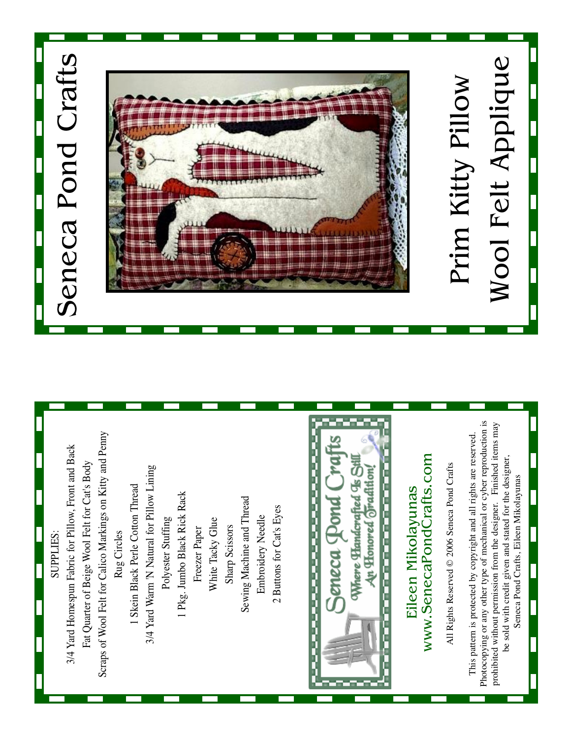

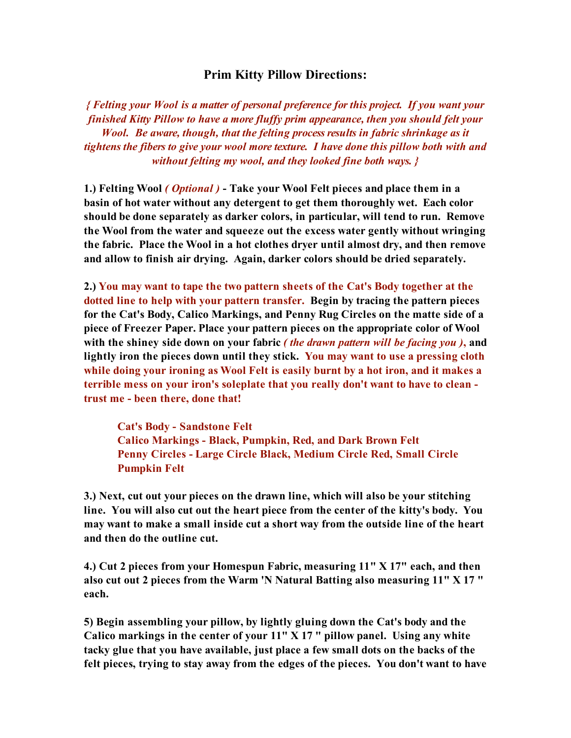## **Prim Kitty Pillow Directions:**

*{ Felting your Wool is a matter of personal preference for this project. If you want your finished Kitty Pillow to have a more fluffy prim appearance, then you should felt your Wool. Be aware, though, that the felting processresults in fabric shrinkage as it tightens the fibers to give your wool more texture. I have done this pillow both with and without felting my wool, and they looked fine both ways. }*

**1.) Felting Wool** *( Optional )* **- Take your Wool Felt pieces and place them in a basin of hot water without any detergent to get them thoroughly wet. Each color should be done separately as darker colors, in particular, will tend to run. Remove the Wool from the water and squeeze out the excess water gently without wringing the fabric. Place the Wool in a hot clothes dryer until almost dry, and then remove and allow to finish air drying. Again, darker colors should be dried separately.**

**2.) You may want to tape the two pattern sheets of the Cat's Body together at the dotted line to help with your pattern transfer. Begin by tracing the pattern pieces for the Cat's Body, Calico Markings, and Penny Rug Circles on the matte side of a piece of Freezer Paper. Place your pattern pieces on the appropriate color of Wool with the shiney side down on your fabric** *( the drawn pattern will be facing you )***, and lightly iron the pieces down until they stick. You may want to use a pressing cloth while doing your ironing as Wool Felt is easily burnt by a hot iron, and it makes a terrible mess on your iron's soleplate that you really don't want to have to clean trust me - been there, done that!**

**Cat's Body - Sandstone Felt Calico Markings - Black, Pumpkin, Red, and Dark Brown Felt Penny Circles - Large Circle Black, Medium Circle Red, Small Circle Pumpkin Felt**

**3.) Next, cut out your pieces on the drawn line, which will also be your stitching line. You will also cut out the heart piece from the center of the kitty's body. You may want to make a small inside cut a short way from the outside line of the heart and then do the outline cut.**

**4.) Cut 2 pieces from your Homespun Fabric, measuring 11" X 17" each, and then also cut out 2 pieces from the Warm 'N Natural Batting also measuring 11" X 17 " each.**

**5) Begin assembling your pillow, by lightly gluing down the Cat's body and the Calico markings in the center of your 11" X 17 " pillow panel. Using any white tacky glue that you have available, just place a few small dots on the backs of the felt pieces, trying to stay away from the edges of the pieces. You don't want to have**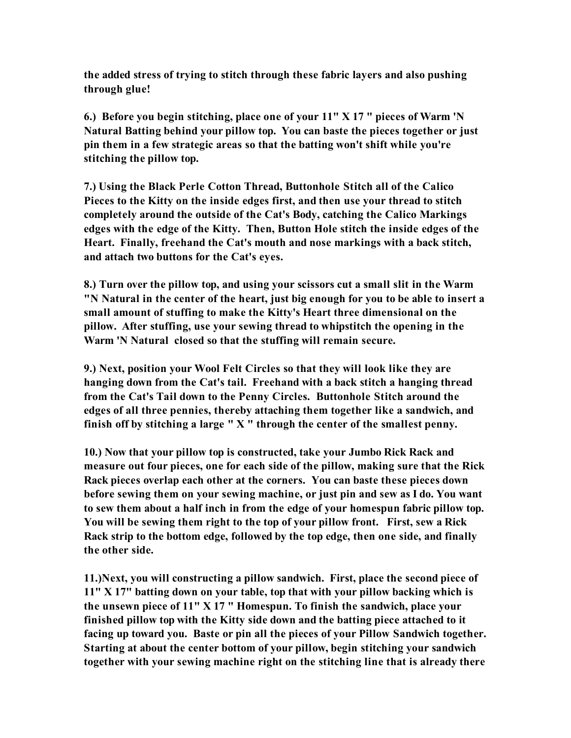**the added stress of trying to stitch through these fabric layers and also pushing through glue!**

**6.) Before you begin stitching, place one of your 11" X 17 " pieces of Warm 'N Natural Batting behind your pillow top. You can baste the pieces together or just pin them in a few strategic areas so that the batting won't shift while you're stitching the pillow top.**

**7.) Using the Black Perle Cotton Thread, Buttonhole Stitch all of the Calico Pieces to the Kitty on the inside edges first, and then use your thread to stitch completely around the outside of the Cat's Body, catching the Calico Markings edges with the edge of the Kitty. Then, Button Hole stitch the inside edges of the Heart. Finally, freehand the Cat's mouth and nose markings with a back stitch, and attach two buttons for the Cat's eyes.**

**8.) Turn over the pillow top, and using your scissors cut a small slit in the Warm "N Natural in the center of the heart, just big enough for you to be able to insert a small amount of stuffing to make the Kitty's Heart three dimensional on the pillow. After stuffing, use your sewing thread to whipstitch the opening in the Warm 'N Natural closed so that the stuffing will remain secure.**

**9.) Next, position your Wool Felt Circles so that they will look like they are hanging down from the Cat's tail. Freehand with a back stitch a hanging thread from the Cat's Tail down to the Penny Circles. Buttonhole Stitch around the edges of all three pennies, thereby attaching them together like a sandwich, and finish off by stitching a large " X " through the center of the smallest penny.**

**10.) Now that your pillow top is constructed, take your Jumbo Rick Rack and measure out four pieces, one for each side of the pillow, making sure that the Rick Rack pieces overlap each other at the corners. You can baste these pieces down before sewing them on your sewing machine, or just pin and sew as I do. You want to sew them about a half inch in from the edge of your homespun fabric pillow top. You will be sewing them right to the top of your pillow front. First, sew a Rick Rack strip to the bottom edge, followed by the top edge, then one side, and finally the other side.**

**11.)Next, you will constructing a pillow sandwich. First, place the second piece of 11" X 17" batting down on your table, top that with your pillow backing which is the unsewn piece of 11" X 17 " Homespun. To finish the sandwich, place your finished pillow top with the Kitty side down and the batting piece attached to it facing up toward you. Baste or pin all the pieces of your Pillow Sandwich together. Starting at about the center bottom of your pillow, begin stitching your sandwich together with your sewing machine right on the stitching line that is already there**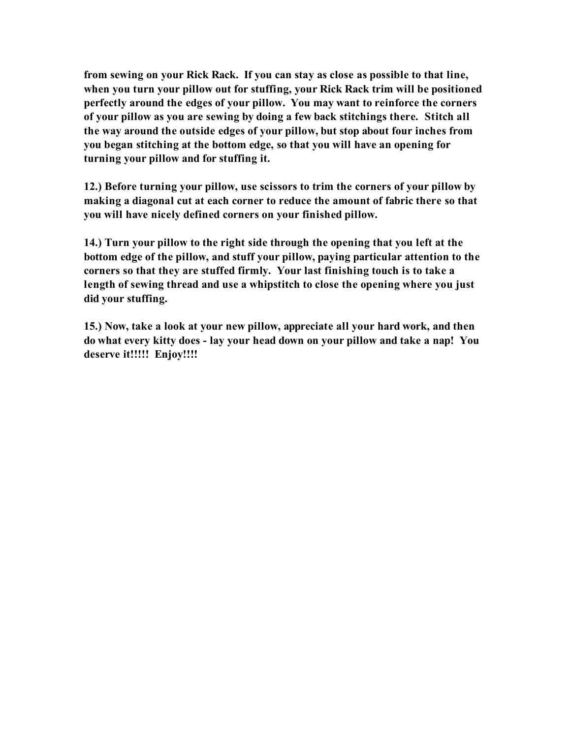**from sewing on your Rick Rack. If you can stay as close as possible to that line, when you turn your pillow out for stuffing, your Rick Rack trim will be positioned perfectly around the edges of your pillow. You may want to reinforce the corners of your pillow as you are sewing by doing a few back stitchings there. Stitch all the way around the outside edges of your pillow, but stop about four inches from you began stitching at the bottom edge, so that you will have an opening for turning your pillow and for stuffing it.**

**12.) Before turning your pillow, use scissors to trim the corners of your pillow by making a diagonal cut at each corner to reduce the amount of fabric there so that you will have nicely defined corners on your finished pillow.**

**14.) Turn your pillow to the right side through the opening that you left at the bottom edge of the pillow, and stuff your pillow, paying particular attention to the corners so that they are stuffed firmly. Your last finishing touch is to take a length of sewing thread and use a whipstitch to close the opening where you just did your stuffing.**

**15.) Now, take a look at your new pillow, appreciate all your hard work, and then do what every kitty does - lay your head down on your pillow and take a nap! You deserve it!!!!! Enjoy!!!!**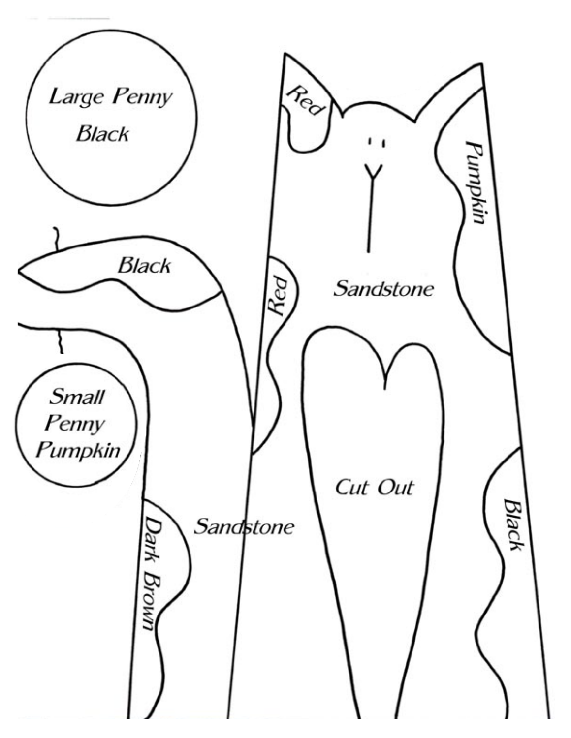